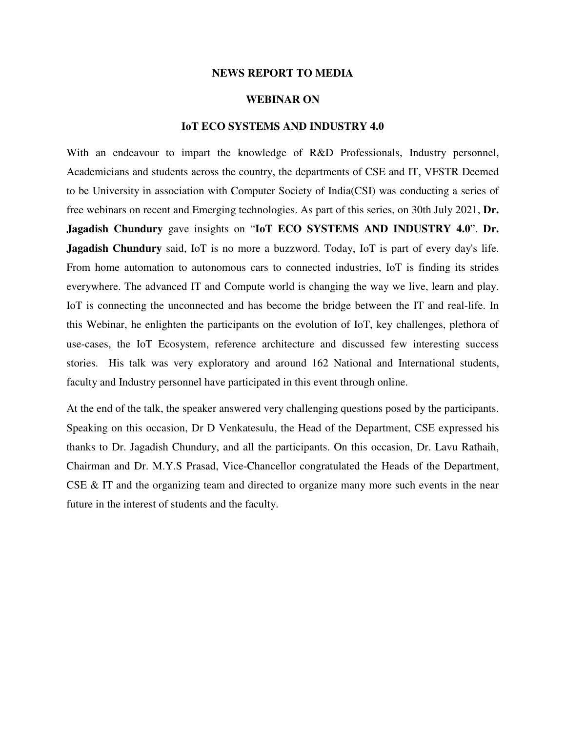## **NEWS REPORT TO MEDIA**

## **WEBINAR ON**

## **IoT ECO SYSTEMS AND INDUSTRY 4.0**

With an endeavour to impart the knowledge of R&D Professionals, Industry personnel, Academicians and students across the country, the departments of CSE and IT, VFSTR Deemed to be University in association with Computer Society of India(CSI) was conducting a series of free webinars on recent and Emerging technologies. As part of this series, on 30th July 2021, **Dr. Jagadish Chundury** gave insights on "**IoT ECO SYSTEMS AND INDUSTRY 4.0**". **Dr. Jagadish Chundury** said, IoT is no more a buzzword. Today, IoT is part of every day's life. From home automation to autonomous cars to connected industries, IoT is finding its strides everywhere. The advanced IT and Compute world is changing the way we live, learn and play. IoT is connecting the unconnected and has become the bridge between the IT and real-life. In this Webinar, he enlighten the participants on the evolution of IoT, key challenges, plethora of use-cases, the IoT Ecosystem, reference architecture and discussed few interesting success stories. His talk was very exploratory and around 162 National and International students, faculty and Industry personnel have participated in this event through online.

At the end of the talk, the speaker answered very challenging questions posed by the participants. Speaking on this occasion, Dr D Venkatesulu, the Head of the Department, CSE expressed his thanks to Dr. Jagadish Chundury, and all the participants. On this occasion, Dr. Lavu Rathaih, Chairman and Dr. M.Y.S Prasad, Vice-Chancellor congratulated the Heads of the Department, CSE & IT and the organizing team and directed to organize many more such events in the near future in the interest of students and the faculty.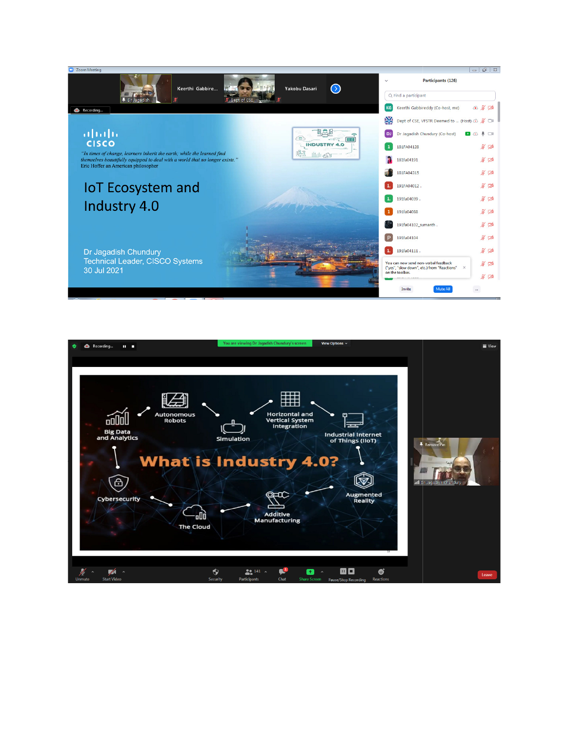